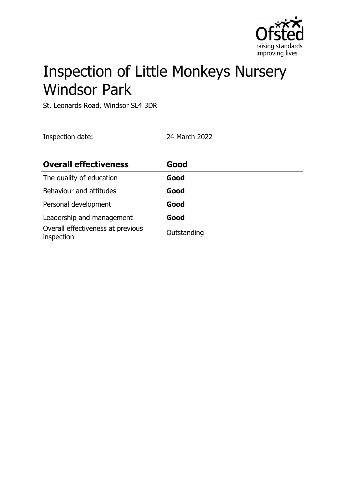

# Inspection of Little Monkeys Nursery Windsor Park

St. Leonards Road, Windsor SL4 3DR

Inspection date: 24 March 2022

| <b>Overall effectiveness</b>                    | Good        |
|-------------------------------------------------|-------------|
| The quality of education                        | Good        |
| Behaviour and attitudes                         | Good        |
| Personal development                            | Good        |
| Leadership and management                       | Good        |
| Overall effectiveness at previous<br>inspection | Outstanding |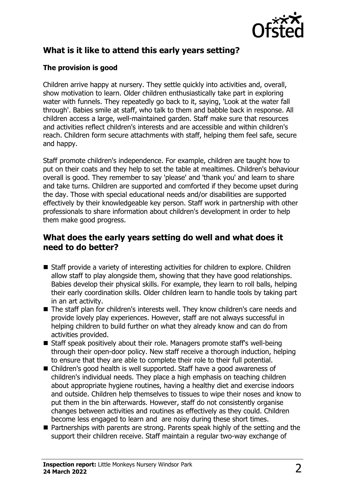

## **What is it like to attend this early years setting?**

### **The provision is good**

Children arrive happy at nursery. They settle quickly into activities and, overall, show motivation to learn. Older children enthusiastically take part in exploring water with funnels. They repeatedly go back to it, saying, 'Look at the water fall through'. Babies smile at staff, who talk to them and babble back in response. All children access a large, well-maintained garden. Staff make sure that resources and activities reflect children's interests and are accessible and within children's reach. Children form secure attachments with staff, helping them feel safe, secure and happy.

Staff promote children's independence. For example, children are taught how to put on their coats and they help to set the table at mealtimes. Children's behaviour overall is good. They remember to say 'please' and 'thank you' and learn to share and take turns. Children are supported and comforted if they become upset during the day. Those with special educational needs and/or disabilities are supported effectively by their knowledgeable key person. Staff work in partnership with other professionals to share information about children's development in order to help them make good progress.

## **What does the early years setting do well and what does it need to do better?**

- $\blacksquare$  Staff provide a variety of interesting activities for children to explore. Children allow staff to play alongside them, showing that they have good relationships. Babies develop their physical skills. For example, they learn to roll balls, helping their early coordination skills. Older children learn to handle tools by taking part in an art activity.
- The staff plan for children's interests well. They know children's care needs and provide lovely play experiences. However, staff are not always successful in helping children to build further on what they already know and can do from activities provided.
- $\blacksquare$  Staff speak positively about their role. Managers promote staff's well-being through their open-door policy. New staff receive a thorough induction, helping to ensure that they are able to complete their role to their full potential.
- Children's good health is well supported. Staff have a good awareness of children's individual needs. They place a high emphasis on teaching children about appropriate hygiene routines, having a healthy diet and exercise indoors and outside. Children help themselves to tissues to wipe their noses and know to put them in the bin afterwards. However, staff do not consistently organise changes between activities and routines as effectively as they could. Children become less engaged to learn and are noisy during these short times.
- $\blacksquare$  Partnerships with parents are strong. Parents speak highly of the setting and the support their children receive. Staff maintain a regular two-way exchange of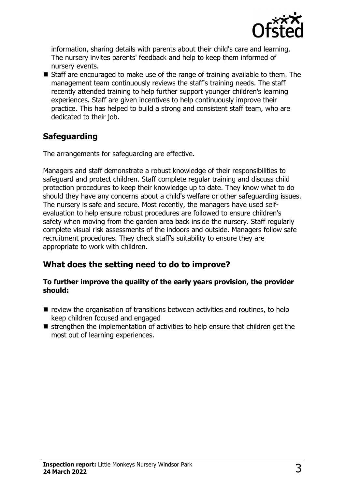

information, sharing details with parents about their child's care and learning. The nursery invites parents' feedback and help to keep them informed of nursery events.

 $\blacksquare$  Staff are encouraged to make use of the range of training available to them. The management team continuously reviews the staff's training needs. The staff recently attended training to help further support younger children's learning experiences. Staff are given incentives to help continuously improve their practice. This has helped to build a strong and consistent staff team, who are dedicated to their job.

## **Safeguarding**

The arrangements for safeguarding are effective.

Managers and staff demonstrate a robust knowledge of their responsibilities to safeguard and protect children. Staff complete regular training and discuss child protection procedures to keep their knowledge up to date. They know what to do should they have any concerns about a child's welfare or other safeguarding issues. The nursery is safe and secure. Most recently, the managers have used selfevaluation to help ensure robust procedures are followed to ensure children's safety when moving from the garden area back inside the nursery. Staff regularly complete visual risk assessments of the indoors and outside. Managers follow safe recruitment procedures. They check staff's suitability to ensure they are appropriate to work with children.

## **What does the setting need to do to improve?**

#### **To further improve the quality of the early years provision, the provider should:**

- $\blacksquare$  review the organisation of transitions between activities and routines, to help keep children focused and engaged
- $\blacksquare$  strengthen the implementation of activities to help ensure that children get the most out of learning experiences.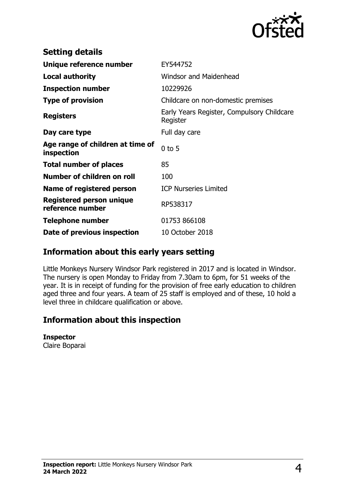

| <b>Setting details</b>                         |                                                        |
|------------------------------------------------|--------------------------------------------------------|
| Unique reference number                        | EY544752                                               |
| <b>Local authority</b>                         | <b>Windsor and Maidenhead</b>                          |
| <b>Inspection number</b>                       | 10229926                                               |
| <b>Type of provision</b>                       | Childcare on non-domestic premises                     |
| <b>Registers</b>                               | Early Years Register, Compulsory Childcare<br>Register |
| Day care type                                  | Full day care                                          |
| Age range of children at time of<br>inspection | $0$ to 5                                               |
| <b>Total number of places</b>                  | 85                                                     |
| Number of children on roll                     | 100                                                    |
| Name of registered person                      | <b>ICP Nurseries Limited</b>                           |
| Registered person unique<br>reference number   | RP538317                                               |
| Telephone number                               | 01753 866108                                           |
| Date of previous inspection                    | 10 October 2018                                        |

## **Information about this early years setting**

Little Monkeys Nursery Windsor Park registered in 2017 and is located in Windsor. The nursery is open Monday to Friday from 7.30am to 6pm, for 51 weeks of the year. It is in receipt of funding for the provision of free early education to children aged three and four years. A team of 25 staff is employed and of these, 10 hold a level three in childcare qualification or above.

## **Information about this inspection**

#### **Inspector**

Claire Boparai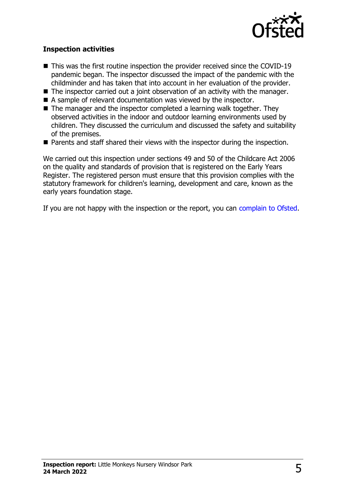

#### **Inspection activities**

- $\blacksquare$  This was the first routine inspection the provider received since the COVID-19 pandemic began. The inspector discussed the impact of the pandemic with the childminder and has taken that into account in her evaluation of the provider.
- $\blacksquare$  The inspector carried out a joint observation of an activity with the manager.
- $\blacksquare$  A sample of relevant documentation was viewed by the inspector.
- $\blacksquare$  The manager and the inspector completed a learning walk together. They observed activities in the indoor and outdoor learning environments used by children. They discussed the curriculum and discussed the safety and suitability of the premises.
- $\blacksquare$  Parents and staff shared their views with the inspector during the inspection.

We carried out this inspection under sections 49 and 50 of the Childcare Act 2006 on the quality and standards of provision that is registered on the Early Years Register. The registered person must ensure that this provision complies with the statutory framework for children's learning, development and care, known as the early years foundation stage.

If you are not happy with the inspection or the report, you can [complain to Ofsted](http://www.gov.uk/complain-ofsted-report).